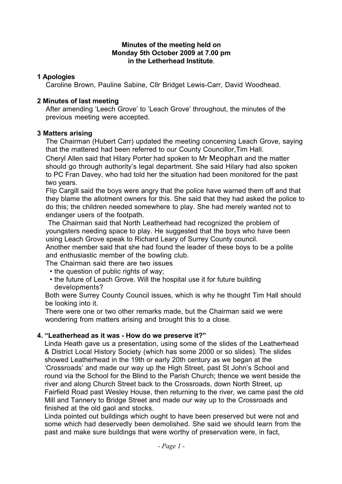#### **Minutes of the meeting held on Monday 5th October 2009 at 7.00 pm in the Letherhead Institute**.

### **1 Apologies**

Caroline Brown, Pauline Sabine, Cllr Bridget Lewis-Carr, David Woodhead.

### **2 Minutes of last meeting**

After amending 'Leech Grove' to 'Leach Grove' throughout, the minutes of the previous meeting were accepted.

### **3 Matters arising**

The Chairman (Hubert Carr) updated the meeting concerning Leach Grove, saying that the mattered had been referred to our County Councillor,Tim Hall.

Cheryl Allen said that Hilary Porter had spoken to Mr Meophan and the matter should go through authority's legal department. She said Hilary had also spoken to PC Fran Davey, who had told her the situation had been monitored for the past two years.

Flip Cargill said the boys were angry that the police have warned them off and that they blame the allotment owners for this. She said that they had asked the police to do this; the children needed somewhere to play. She had merely wanted not to endanger users of the footpath.

 The Chairman said that North Leatherhead had recognized the problem of youngsters needing space to play. He suggested that the boys who have been using Leach Grove speak to Richard Leary of Surrey County council.

Another member said that she had found the leader of these boys to be a polite and enthusiastic member of the bowling club.

The Chairman said there are two issues

- the question of public rights of way;
- the future of Leach Grove. Will the hospital use it for future building developments?

Both were Surrey County Council issues, which is why he thought Tim Hall should be looking into it.

There were one or two other remarks made, but the Chairman said we were wondering from matters arising and brought this to a close.

# **4. "Leatherhead as it was - How do we preserve it?"**

Linda Heath gave us a presentation, using some of the slides of the Leatherhead & District Local History Society (which has some 2000 or so slides). The slides showed Leatherhead in the 19th or early 20th century as we began at the 'Crossroads' and made our way up the High Street, past St John's School and round via the School for the Blind to the Parish Church; thence we went beside the river and along Church Street back to the Crossroads, down North Street, up Fairfield Road past Wesley House, then returning to the river, we came past the old Mill and Tannery to Bridge Street and made our way up to the Crossroads and finished at the old gaol and stocks.

Linda pointed out buildings which ought to have been preserved but were not and some which had deservedly been demolished. She said we should learn from the past and make sure buildings that were worthy of preservation were, in fact,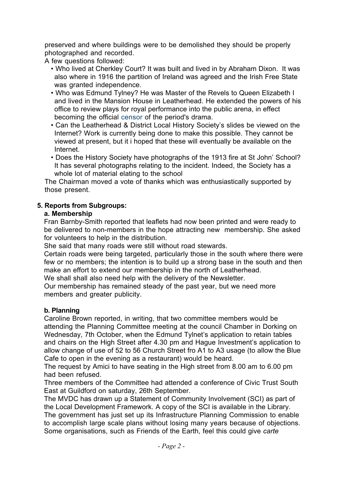preserved and where buildings were to be demolished they should be properly photographed and recorded.

A few questions followed:

- Who lived at Cherkley Court? It was built and lived in by Abraham Dixon. It was also where in 1916 the partition of Ireland was agreed and the Irish Free State was granted independence.
- Who was Edmund Tylney? He was Master of the Revels to Queen Elizabeth I and lived in the Mansion House in Leatherhead. He extended the powers of his office to review plays for royal performance into the public arena, in effect becoming the official censor of the period's drama.
- Can the Leatherhead & District Local History Society's slides be viewed on the Internet? Work is currently being done to make this possible. They cannot be viewed at present, but it i hoped that these will eventually be available on the Internet.
- Does the History Society have photographs of the 1913 fire at St John' School? It has several photographs relating to the incident. Indeed, the Society has a whole lot of material elating to the school

The Chairman moved a vote of thanks which was enthusiastically supported by those present.

## **5. Reports from Subgroups:**

## **a. Membership**

Fran Barnby-Smith reported that leaflets had now been printed and were ready to be delivered to non-members in the hope attracting new membership. She asked for volunteers to help in the distribution.

She said that many roads were still without road stewards.

Certain roads were being targeted, particularly those in the south where there were few or no members; the intention is to build up a strong base in the south and then make an effort to extend our membership in the north of Leatherhead.

We shall shall also need help with the delivery of the Newsletter.

Our membership has remained steady of the past year, but we need more members and greater publicity.

# **b. Planning**

Caroline Brown reported, in writing, that two committee members would be attending the Planning Committee meeting at the council Chamber in Dorking on Wednesday, 7th October, when the Edmund Tylnet's application to retain tables and chairs on the High Street after 4.30 pm and Hague Investment's application to allow change of use of 52 to 56 Church Street fro A1 to A3 usage (to allow the Blue Cafe to open in the evening as a restaurant) would be heard.

The request by Amici to have seating in the High street from 8.00 am to 6.00 pm had been refused.

Three members of the Committee had attended a conference of Civic Trust South East at Guildford on saturday, 26th September.

The MVDC has drawn up a Statement of Community Involvement (SCI) as part of the Local Development Framework. A copy of the SCI is available in the Library. The government has just set up its Infrastructure Planning Commission to enable to accomplish large scale plans without losing many years because of objections. Some organisations, such as Friends of the Earth, feel this could give *carte*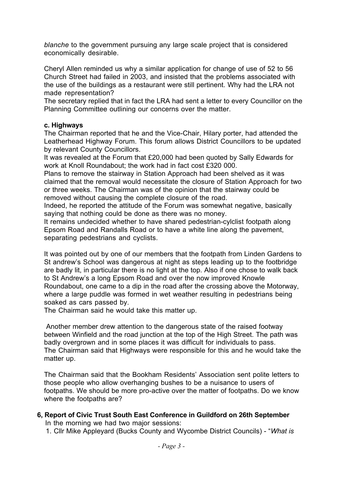*blanche* to the government pursuing any large scale project that is considered economically desirable.

Cheryl Allen reminded us why a similar application for change of use of 52 to 56 Church Street had failed in 2003, and insisted that the problems associated with the use of the buildings as a restaurant were still pertinent. Why had the LRA not made representation?

The secretary replied that in fact the LRA had sent a letter to every Councillor on the Planning Committee outlining our concerns over the matter.

### **c. Highways**

The Chairman reported that he and the Vice-Chair, Hilary porter, had attended the Leatherhead Highway Forum. This forum allows District Councillors to be updated by relevant County Councillors.

It was revealed at the Forum that £20,000 had been quoted by Sally Edwards for work at Knoll Roundabout; the work had in fact cost £320 000.

Plans to remove the stairway in Station Approach had been shelved as it was claimed that the removal would necessitate the closure of Station Approach for two or three weeks. The Chairman was of the opinion that the stairway could be removed without causing the complete closure of the road.

Indeed, he reported the attitude of the Forum was somewhat negative, basically saying that nothing could be done as there was no money.

It remains undecided whether to have shared pedestrian-cylclist footpath along Epsom Road and Randalls Road or to have a white line along the pavement, separating pedestrians and cyclists.

It was pointed out by one of our members that the footpath from Linden Gardens to St andrew's School was dangerous at night as steps leading up to the footbridge are badly lit, in particular there is no light at the top. Also if one chose to walk back to St Andrew's a long Epsom Road and over the now improved Knowle Roundabout, one came to a dip in the road after the crossing above the Motorway, where a large puddle was formed in wet weather resulting in pedestrians being soaked as cars passed by.

The Chairman said he would take this matter up.

 Another member drew attention to the dangerous state of the raised footway between Winfield and the road junction at the top of the High Street. The path was badly overgrown and in some places it was difficult for individuals to pass. The Chairman said that Highways were responsible for this and he would take the matter up.

The Chairman said that the Bookham Residents' Association sent polite letters to those people who allow overhanging bushes to be a nuisance to users of footpaths. We should be more pro-active over the matter of footpaths. Do we know where the footpaths are?

**6, Report of Civic Trust South East Conference in Guildford on 26th September** In the morning we had two major sessions:

1. Cllr Mike Appleyard (Bucks County and Wycombe District Councils) - "*What is*